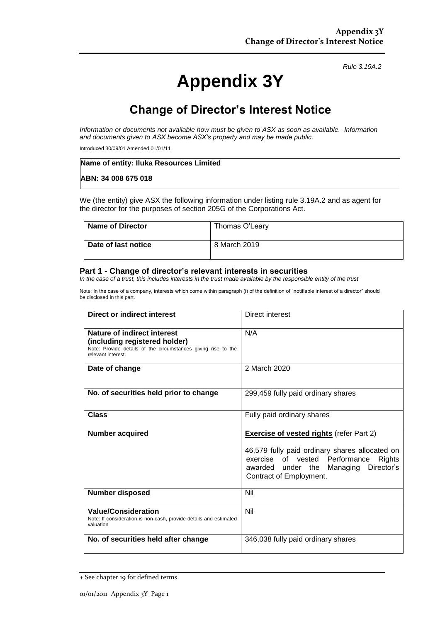*Rule 3.19A.2*

# **Appendix 3Y**

# **Change of Director's Interest Notice**

*Information or documents not available now must be given to ASX as soon as available. Information and documents given to ASX become ASX's property and may be made public.*

Introduced 30/09/01 Amended 01/01/11

| Name of entity: Iluka Resources Limited |  |
|-----------------------------------------|--|
| ABN: 34 008 675 018                     |  |

We (the entity) give ASX the following information under listing rule 3.19A.2 and as agent for the director for the purposes of section 205G of the Corporations Act.

| Name of Director    | Thomas O'Leary |
|---------------------|----------------|
| Date of last notice | 8 March 2019   |

#### **Part 1 - Change of director's relevant interests in securities**

*In the case of a trust, this includes interests in the trust made available by the responsible entity of the trust*

Note: In the case of a company, interests which come within paragraph (i) of the definition of "notifiable interest of a director" should be disclosed in this part.

| <b>Direct or indirect interest</b>                                                                                                                         | Direct interest                                                                                                                                                                                                   |  |
|------------------------------------------------------------------------------------------------------------------------------------------------------------|-------------------------------------------------------------------------------------------------------------------------------------------------------------------------------------------------------------------|--|
| <b>Nature of indirect interest</b><br>(including registered holder)<br>Note: Provide details of the circumstances giving rise to the<br>relevant interest. | N/A                                                                                                                                                                                                               |  |
| Date of change                                                                                                                                             | 2 March 2020                                                                                                                                                                                                      |  |
| No. of securities held prior to change                                                                                                                     | 299,459 fully paid ordinary shares                                                                                                                                                                                |  |
| <b>Class</b>                                                                                                                                               | Fully paid ordinary shares                                                                                                                                                                                        |  |
| <b>Number acquired</b>                                                                                                                                     | <b>Exercise of vested rights (refer Part 2)</b><br>46,579 fully paid ordinary shares allocated on<br>exercise of vested Performance<br>Rights<br>awarded under the Managing Director's<br>Contract of Employment. |  |
| Number disposed                                                                                                                                            | Nil                                                                                                                                                                                                               |  |
| <b>Value/Consideration</b><br>Note: If consideration is non-cash, provide details and estimated<br>valuation                                               | Nil                                                                                                                                                                                                               |  |
| No. of securities held after change                                                                                                                        | 346,038 fully paid ordinary shares                                                                                                                                                                                |  |

<sup>+</sup> See chapter 19 for defined terms.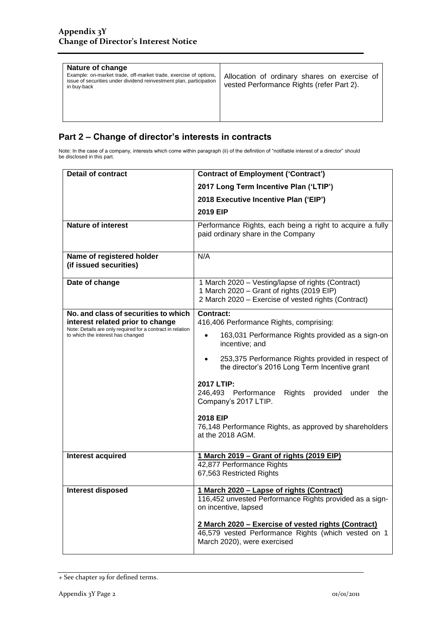| Nature of change<br>Example: on-market trade, off-market trade, exercise of options,<br>issue of securities under dividend reinvestment plan, participation<br>in buy-back | Allocation of ordinary shares on exercise of<br>vested Performance Rights (refer Part 2). |
|----------------------------------------------------------------------------------------------------------------------------------------------------------------------------|-------------------------------------------------------------------------------------------|
|----------------------------------------------------------------------------------------------------------------------------------------------------------------------------|-------------------------------------------------------------------------------------------|

### **Part 2 – Change of director's interests in contracts**

Note: In the case of a company, interests which come within paragraph (ii) of the definition of "notifiable interest of a director" should be disclosed in this part.

| <b>Detail of contract</b>                                                                                                                                                   | <b>Contract of Employment ('Contract')</b>                                                                                                                                                                                                                                                                                                                                                                                                               |  |
|-----------------------------------------------------------------------------------------------------------------------------------------------------------------------------|----------------------------------------------------------------------------------------------------------------------------------------------------------------------------------------------------------------------------------------------------------------------------------------------------------------------------------------------------------------------------------------------------------------------------------------------------------|--|
|                                                                                                                                                                             | 2017 Long Term Incentive Plan ('LTIP')                                                                                                                                                                                                                                                                                                                                                                                                                   |  |
|                                                                                                                                                                             | 2018 Executive Incentive Plan ('EIP')                                                                                                                                                                                                                                                                                                                                                                                                                    |  |
|                                                                                                                                                                             | 2019 EIP                                                                                                                                                                                                                                                                                                                                                                                                                                                 |  |
| <b>Nature of interest</b>                                                                                                                                                   | Performance Rights, each being a right to acquire a fully<br>paid ordinary share in the Company                                                                                                                                                                                                                                                                                                                                                          |  |
| Name of registered holder<br>(if issued securities)                                                                                                                         | N/A                                                                                                                                                                                                                                                                                                                                                                                                                                                      |  |
| Date of change                                                                                                                                                              | 1 March 2020 - Vesting/lapse of rights (Contract)<br>1 March 2020 - Grant of rights (2019 EIP)<br>2 March 2020 - Exercise of vested rights (Contract)                                                                                                                                                                                                                                                                                                    |  |
| No. and class of securities to which<br>interest related prior to change<br>Note: Details are only required for a contract in relation<br>to which the interest has changed | <b>Contract:</b><br>416,406 Performance Rights, comprising:<br>163,031 Performance Rights provided as a sign-on<br>$\bullet$<br>incentive; and<br>253,375 Performance Rights provided in respect of<br>the director's 2016 Long Term Incentive grant<br>2017 LTIP:<br>246,493 Performance<br>Rights<br>provided<br>under<br>the<br>Company's 2017 LTIP.<br><b>2018 EIP</b><br>76,148 Performance Rights, as approved by shareholders<br>at the 2018 AGM. |  |
| Interest acquired                                                                                                                                                           | 1 March 2019 - Grant of rights (2019 EIP)<br>42,877 Performance Rights<br>67,563 Restricted Rights                                                                                                                                                                                                                                                                                                                                                       |  |
| Interest disposed                                                                                                                                                           | 1 March 2020 - Lapse of rights (Contract)<br>116,452 unvested Performance Rights provided as a sign-<br>on incentive, lapsed<br>2 March 2020 - Exercise of vested rights (Contract)<br>46,579 vested Performance Rights (which vested on 1<br>March 2020), were exercised                                                                                                                                                                                |  |

<sup>+</sup> See chapter 19 for defined terms.